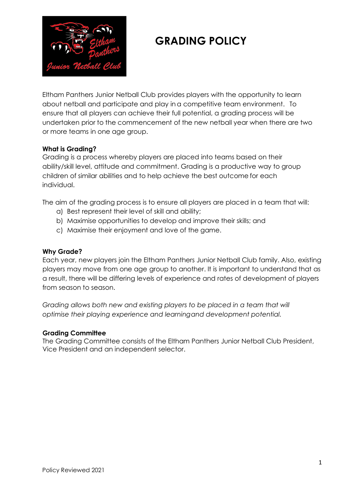

Eltham Panthers Junior Netball Club provides players with the opportunity to learn about netball and participate and play in a competitive team environment. To ensure that all players can achieve their full potential, a grading process will be undertaken prior to the commencement of the new netball year when there are two or more teams in one age group.

## **What is Grading?**

Grading is a process whereby players are placed into teams based on their ability/skill level, attitude and commitment. Grading is a productive way to group children of similar abilities and to help achieve the best outcome for each individual.

The aim of the grading process is to ensure all players are placed in a team that will:

- a) Best represent their level of skill and ability;
- b) Maximise opportunities to develop and improve their skills; and
- c) Maximise their enjoyment and love of the game.

#### **Why Grade?**

Each year, new players join the Eltham Panthers Junior Netball Club family. Also, existing players may move from one age group to another. It is important to understand that as a result, there will be differing levels of experience and rates of development of players from season to season.

*Grading allows both new and existing players to be placed in a team that will optimise their playing experience and learningand development potential.*

#### **Grading Committee**

The Grading Committee consists of the Eltham Panthers Junior Netball Club President, Vice President and an independent selector.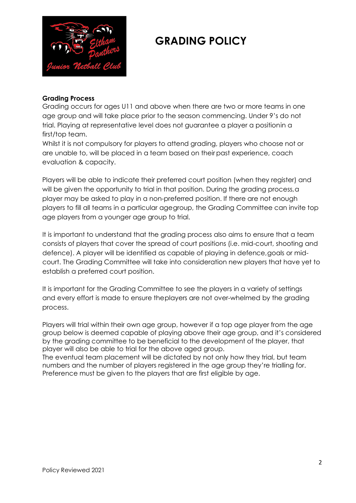

### **Grading Process**

Grading occurs for ages U11 and above when there are two or more teams in one age group and will take place prior to the season commencing. Under 9's do not trial. Playing at representative level does not guarantee a player a positionin a first/top team.

Whilst it is not compulsory for players to attend grading, players who choose not or are unable to, will be placed in a team based on their past experience, coach evaluation & capacity.

Players will be able to indicate their preferred court position (when they register) and will be given the opportunity to trial in that position. During the grading process, a player may be asked to play in a non-preferred position. If there are not enough players to fill all teams in a particular agegroup, the Grading Committee can invite top age players from a younger age group to trial.

It is important to understand that the grading process also aims to ensure that a team consists of players that cover the spread of court positions (i.e. mid-court, shooting and defence). A player will be identified as capable of playing in defence,goals or midcourt. The Grading Committee will take into consideration new players that have yet to establish a preferred court position.

It is important for the Grading Committee to see the players in a variety of settings and every effort is made to ensure theplayers are not over-whelmed by the grading process.

Players will trial within their own age group, however if a top age player from the age group below is deemed capable of playing above their age group, and it's considered by the grading committee to be beneficial to the development of the player, that player will also be able to trial for the above aged group.

The eventual team placement will be dictated by not only how they trial, but team numbers and the number of players registered in the age group they're trialling for. Preference must be given to the players that are first eligible by age.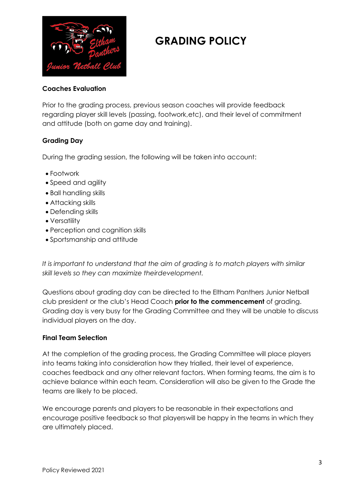

## **Coaches Evaluation**

Prior to the grading process, previous season coaches will provide feedback regarding player skill levels (passing, footwork,etc), and their level of commitment and attitude (both on game day and training).

## **Grading Day**

During the grading session, the following will be taken into account:

- Footwork
- Speed and agility
- Ball handling skills
- Attacking skills
- Defending skills
- Versatility
- Perception and cognition skills
- Sportsmanship and attitude

*It is important to understand that the aim of grading is to match players with similar skill levels so they can maximize theirdevelopment.*

Questions about grading day can be directed to the Eltham Panthers Junior Netball club president or the club's Head Coach **prior to the commencement** of grading. Grading day is very busy for the Grading Committee and they will be unable to discuss individual players on the day.

## **Final Team Selection**

At the completion of the grading process, the Grading Committee will place players into teams taking into consideration how they trialled, their level of experience, coaches feedback and any other relevant factors. When forming teams, the aim is to achieve balance within each team. Consideration will also be given to the Grade the teams are likely to be placed.

We encourage parents and players to be reasonable in their expectations and encourage positive feedback so that playerswill be happy in the teams in which they are ultimately placed.